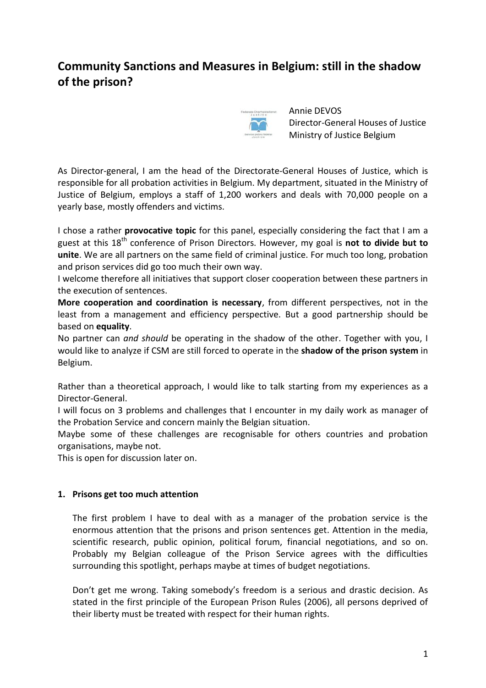# **Community Sanctions and Measures in Belgium: still in the shadow of the prison?**



Annie DEVOS Director-General Houses of Justice Ministry of Justice Belgium

As Director-general, I am the head of the Directorate-General Houses of Justice, which is responsible for all probation activities in Belgium. My department, situated in the Ministry of Justice of Belgium, employs a staff of 1,200 workers and deals with 70,000 people on a yearly base, mostly offenders and victims.

I chose a rather **provocative topic** for this panel, especially considering the fact that I am a guest at this 18th conference of Prison Directors. However, my goal is **not to divide but to unite**. We are all partners on the same field of criminal justice. For much too long, probation and prison services did go too much their own way.

I welcome therefore all initiatives that support closer cooperation between these partners in the execution of sentences.

**More cooperation and coordination is necessary**, from different perspectives, not in the least from a management and efficiency perspective. But a good partnership should be based on **equality**.

No partner can *and should* be operating in the shadow of the other. Together with you, I would like to analyze if CSM are still forced to operate in the **shadow of the prison system** in Belgium.

Rather than a theoretical approach, I would like to talk starting from my experiences as a Director-General.

I will focus on 3 problems and challenges that I encounter in my daily work as manager of the Probation Service and concern mainly the Belgian situation.

Maybe some of these challenges are recognisable for others countries and probation organisations, maybe not.

This is open for discussion later on.

## **1. Prisons get too much attention**

The first problem I have to deal with as a manager of the probation service is the enormous attention that the prisons and prison sentences get. Attention in the media, scientific research, public opinion, political forum, financial negotiations, and so on. Probably my Belgian colleague of the Prison Service agrees with the difficulties surrounding this spotlight, perhaps maybe at times of budget negotiations.

Don't get me wrong. Taking somebody's freedom is a serious and drastic decision. As stated in the first principle of the European Prison Rules (2006), all persons deprived of their liberty must be treated with respect for their human rights.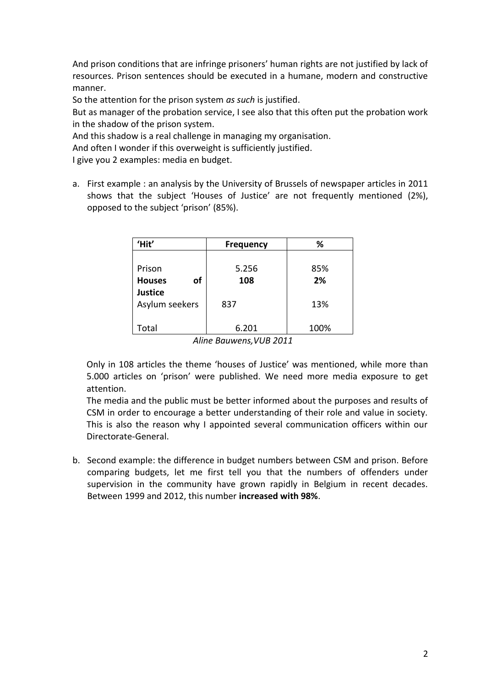And prison conditions that are infringe prisoners' human rights are not justified by lack of resources. Prison sentences should be executed in a humane, modern and constructive manner.

So the attention for the prison system *as such* is justified.

But as manager of the probation service, I see also that this often put the probation work in the shadow of the prison system.

And this shadow is a real challenge in managing my organisation.

And often I wonder if this overweight is sufficiently justified.

I give you 2 examples: media en budget.

a. First example : an analysis by the University of Brussels of newspaper articles in 2011 shows that the subject 'Houses of Justice' are not frequently mentioned (2%), opposed to the subject 'prison' (85%).

| 'Hit'                                                                           | <b>Frequency</b> | %    |
|---------------------------------------------------------------------------------|------------------|------|
| Prison                                                                          | 5.256            | 85%  |
| of<br><b>Houses</b>                                                             | 108              | 2%   |
| <b>Justice</b>                                                                  |                  |      |
| Asylum seekers                                                                  | 837              | 13%  |
|                                                                                 |                  |      |
| Total                                                                           | 6.201            | 100% |
| $\Delta U_{\text{max}} = \sum_{n=1}^{n} \sum_{n=1}^{n} (U_{n} - U_{n})$<br>3011 |                  |      |

*Aline Bauwens,VUB 2011*

Only in 108 articles the theme 'houses of Justice' was mentioned, while more than 5.000 articles on 'prison' were published. We need more media exposure to get attention.

The media and the public must be better informed about the purposes and results of CSM in order to encourage a better understanding of their role and value in society. This is also the reason why I appointed several communication officers within our Directorate-General.

b. Second example: the difference in budget numbers between CSM and prison. Before comparing budgets, let me first tell you that the numbers of offenders under supervision in the community have grown rapidly in Belgium in recent decades. Between 1999 and 2012, this number **increased with 98%**.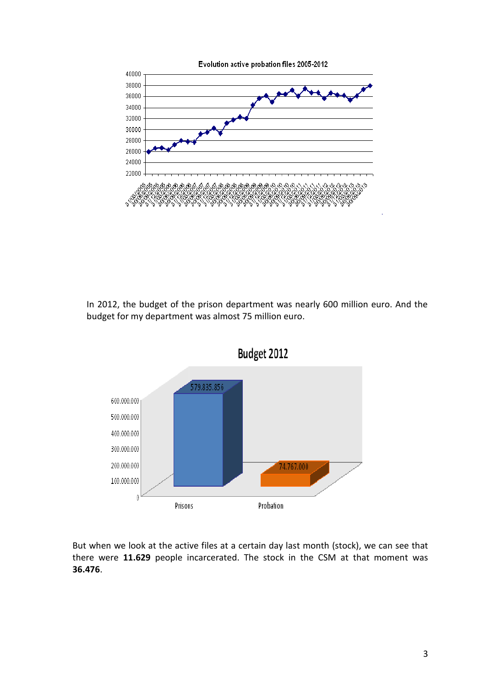

In 2012, the budget of the prison department was nearly 600 million euro. And the budget for my department was almost 75 million euro.



But when we look at the active files at a certain day last month (stock), we can see that there were **11.629** people incarcerated. The stock in the CSM at that moment was **36.476**.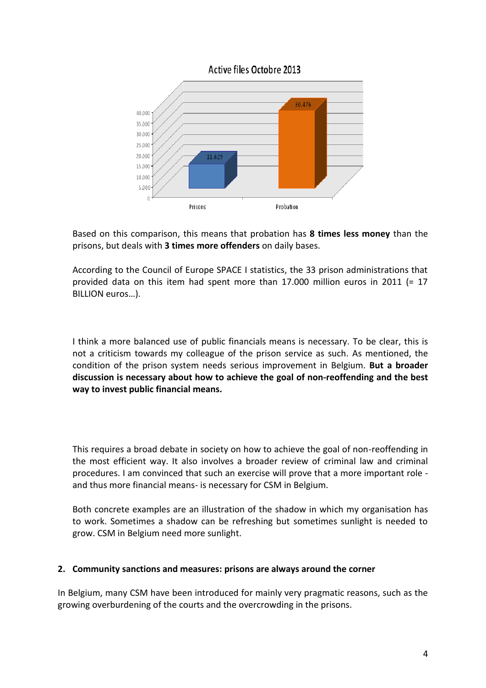



Based on this comparison, this means that probation has **8 times less money** than the prisons, but deals with **3 times more offenders** on daily bases.

According to the Council of Europe SPACE I statistics, the 33 prison administrations that provided data on this item had spent more than 17.000 million euros in 2011 (= 17 BILLION euros…).

I think a more balanced use of public financials means is necessary. To be clear, this is not a criticism towards my colleague of the prison service as such. As mentioned, the condition of the prison system needs serious improvement in Belgium. **But a broader discussion is necessary about how to achieve the goal of non-reoffending and the best way to invest public financial means.**

This requires a broad debate in society on how to achieve the goal of non-reoffending in the most efficient way. It also involves a broader review of criminal law and criminal procedures. I am convinced that such an exercise will prove that a more important role and thus more financial means- is necessary for CSM in Belgium.

Both concrete examples are an illustration of the shadow in which my organisation has to work. Sometimes a shadow can be refreshing but sometimes sunlight is needed to grow. CSM in Belgium need more sunlight.

#### **2. Community sanctions and measures: prisons are always around the corner**

In Belgium, many CSM have been introduced for mainly very pragmatic reasons, such as the growing overburdening of the courts and the overcrowding in the prisons.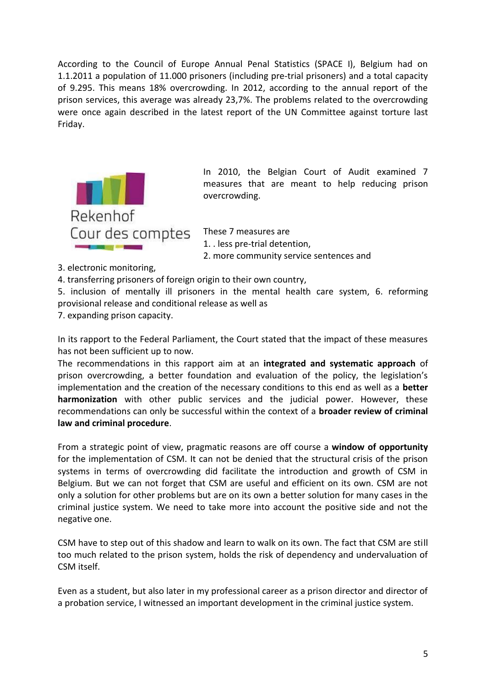According to the Council of Europe Annual Penal Statistics (SPACE I), Belgium had on 1.1.2011 a population of 11.000 prisoners (including pre-trial prisoners) and a total capacity of 9.295. This means 18% overcrowding. In 2012, according to the annual report of the prison services, this average was already 23,7%. The problems related to the overcrowding were once again described in the latest report of the UN Committee against torture last Friday.



In 2010, the Belgian Court of Audit examined 7 measures that are meant to help reducing prison overcrowding.

These 7 measures are

1. . less pre-trial detention,

2. more community service sentences and

- 3. electronic monitoring,
- 4. transferring prisoners of foreign origin to their own country,

5. inclusion of mentally ill prisoners in the mental health care system, 6. reforming provisional release and conditional release as well as

7. expanding prison capacity.

In its rapport to the Federal Parliament, the Court stated that the impact of these measures has not been sufficient up to now.

The recommendations in this rapport aim at an **integrated and systematic approach** of prison overcrowding, a better foundation and evaluation of the policy, the legislation's implementation and the creation of the necessary conditions to this end as well as a **better harmonization** with other public services and the judicial power. However, these recommendations can only be successful within the context of a **broader review of criminal law and criminal procedure**.

From a strategic point of view, pragmatic reasons are off course a **window of opportunity** for the implementation of CSM. It can not be denied that the structural crisis of the prison systems in terms of overcrowding did facilitate the introduction and growth of CSM in Belgium. But we can not forget that CSM are useful and efficient on its own. CSM are not only a solution for other problems but are on its own a better solution for many cases in the criminal justice system. We need to take more into account the positive side and not the negative one.

CSM have to step out of this shadow and learn to walk on its own. The fact that CSM are still too much related to the prison system, holds the risk of dependency and undervaluation of CSM itself.

Even as a student, but also later in my professional career as a prison director and director of a probation service, I witnessed an important development in the criminal justice system.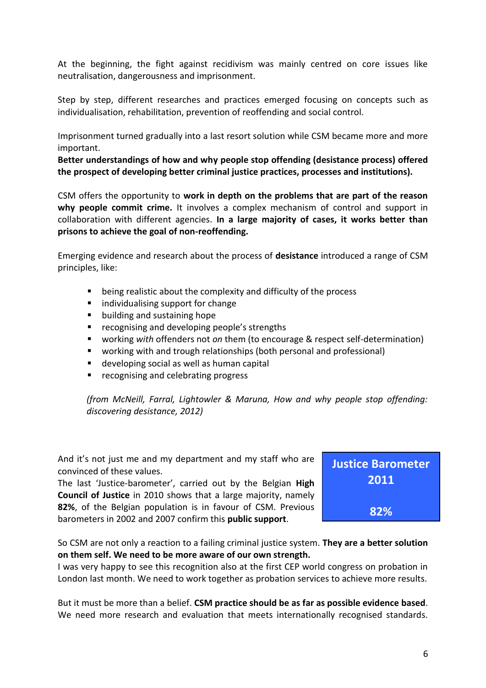At the beginning, the fight against recidivism was mainly centred on core issues like neutralisation, dangerousness and imprisonment.

Step by step, different researches and practices emerged focusing on concepts such as individualisation, rehabilitation, prevention of reoffending and social control.

Imprisonment turned gradually into a last resort solution while CSM became more and more important.

**Better understandings of how and why people stop offending (desistance process) offered the prospect of developing better criminal justice practices, processes and institutions).** 

CSM offers the opportunity to **work in depth on the problems that are part of the reason why people commit crime.** It involves a complex mechanism of control and support in collaboration with different agencies. **In a large majority of cases, it works better than prisons to achieve the goal of non-reoffending.** 

Emerging evidence and research about the process of **desistance** introduced a range of CSM principles, like:

- being realistic about the complexity and difficulty of the process
- $\blacksquare$  individualising support for change
- **•** building and sustaining hope
- **•** recognising and developing people's strengths
- working *with* offenders not *on* them (to encourage & respect self-determination)
- working with and trough relationships (both personal and professional)
- developing social as well as human capital
- recognising and celebrating progress

*(from McNeill, Farral, Lightowler & Maruna, How and why people stop offending: discovering desistance, 2012)*

And it's not just me and my department and my staff who are convinced of these values.

The last 'Justice-barometer', carried out by the Belgian **High Council of Justice** in 2010 shows that a large majority, namely **82%**, of the Belgian population is in favour of CSM. Previous barometers in 2002 and 2007 confirm this **public support**.



So CSM are not only a reaction to a failing criminal justice system. **They are a better solution on them self. We need to be more aware of our own strength.**

I was very happy to see this recognition also at the first CEP world congress on probation in London last month. We need to work together as probation services to achieve more results.

But it must be more than a belief. **CSM practice should be as far as possible evidence based**. We need more research and evaluation that meets internationally recognised standards.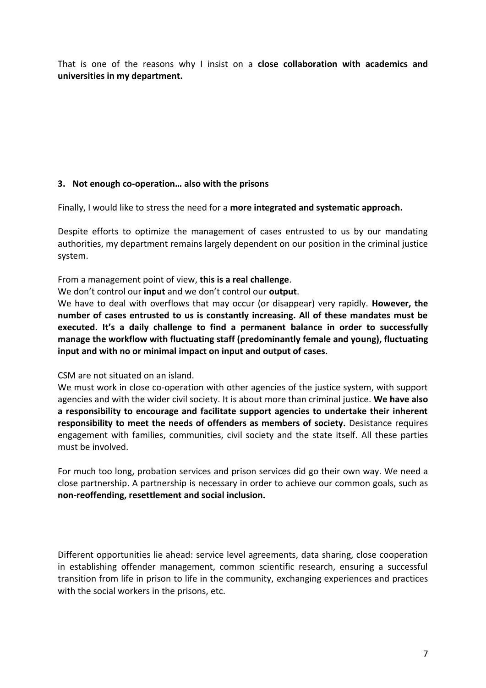That is one of the reasons why I insist on a **close collaboration with academics and universities in my department.**

## **3. Not enough co-operation… also with the prisons**

Finally, I would like to stress the need for a **more integrated and systematic approach.** 

Despite efforts to optimize the management of cases entrusted to us by our mandating authorities, my department remains largely dependent on our position in the criminal justice system.

From a management point of view, **this is a real challenge**.

We don't control our **input** and we don't control our **output**.

We have to deal with overflows that may occur (or disappear) very rapidly. **However, the number of cases entrusted to us is constantly increasing. All of these mandates must be executed. It's a daily challenge to find a permanent balance in order to successfully manage the workflow with fluctuating staff (predominantly female and young), fluctuating input and with no or minimal impact on input and output of cases.** 

CSM are not situated on an island.

We must work in close co-operation with other agencies of the justice system, with support agencies and with the wider civil society. It is about more than criminal justice. **We have also a responsibility to encourage and facilitate support agencies to undertake their inherent responsibility to meet the needs of offenders as members of society.** Desistance requires engagement with families, communities, civil society and the state itself. All these parties must be involved.

For much too long, probation services and prison services did go their own way. We need a close partnership. A partnership is necessary in order to achieve our common goals, such as **non-reoffending, resettlement and social inclusion.** 

Different opportunities lie ahead: service level agreements, data sharing, close cooperation in establishing offender management, common scientific research, ensuring a successful transition from life in prison to life in the community, exchanging experiences and practices with the social workers in the prisons, etc.